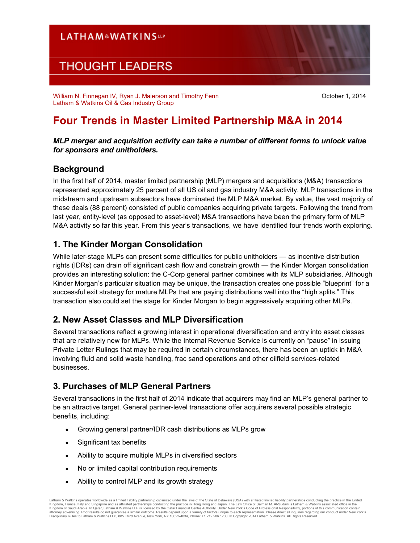# **LATHAM&WATKINSUP**

# **THOUGHT LEADERS**

William N. Finnegan IV, Ryan J. Maierson and Timothy Fenn Latham & Watkins Oil & Gas Industry Group

October 1, 2014

# **Four Trends in Master Limited Partnership M&A in 2014**

### *MLP merger and acquisition activity can take a number of different forms to unlock value for sponsors and unitholders.*

## **Background**

In the first half of 2014, master limited partnership (MLP) mergers and acquisitions (M&A) transactions represented approximately 25 percent of all US oil and gas industry M&A activity. MLP transactions in the midstream and upstream subsectors have dominated the MLP M&A market. By value, the vast majority of these deals (88 percent) consisted of public companies acquiring private targets. Following the trend from last year, entity-level (as opposed to asset-level) M&A transactions have been the primary form of MLP M&A activity so far this year. From this year's transactions, we have identified four trends worth exploring.

## **1. The Kinder Morgan Consolidation**

While later-stage MLPs can present some difficulties for public unitholders — as incentive distribution rights (IDRs) can drain off significant cash flow and constrain growth — the Kinder Morgan consolidation provides an interesting solution: the C-Corp general partner combines with its MLP subsidiaries. Although Kinder Morgan's particular situation may be unique, the transaction creates one possible "blueprint" for a successful exit strategy for mature MLPs that are paying distributions well into the "high splits." This transaction also could set the stage for Kinder Morgan to begin aggressively acquiring other MLPs.

## **2. New Asset Classes and MLP Diversification**

Several transactions reflect a growing interest in operational diversification and entry into asset classes that are relatively new for MLPs. While the Internal Revenue Service is currently on "pause" in issuing Private Letter Rulings that may be required in certain circumstances, there has been an uptick in M&A involving fluid and solid waste handling, frac sand operations and other oilfield services-related businesses.

## **3. Purchases of MLP General Partners**

Several transactions in the first half of 2014 indicate that acquirers may find an MLP's general partner to be an attractive target. General partner-level transactions offer acquirers several possible strategic benefits, including:

- Growing general partner/IDR cash distributions as MLPs grow
- Significant tax benefits
- Ability to acquire multiple MLPs in diversified sectors
- No or limited capital contribution requirements
- Ability to control MLP and its growth strategy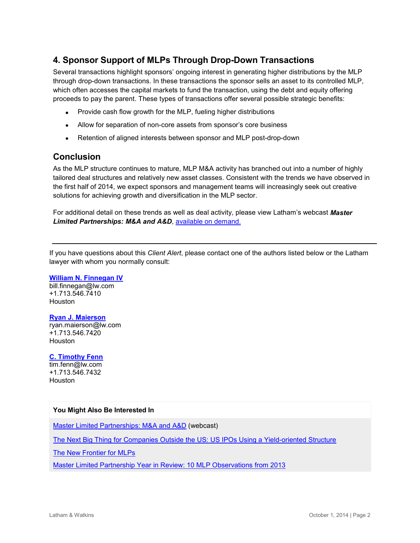# **4. Sponsor Support of MLPs Through Drop-Down Transactions**

Several transactions highlight sponsors' ongoing interest in generating higher distributions by the MLP through drop-down transactions. In these transactions the sponsor sells an asset to its controlled MLP, which often accesses the capital markets to fund the transaction, using the debt and equity offering proceeds to pay the parent. These types of transactions offer several possible strategic benefits:

- Provide cash flow growth for the MLP, fueling higher distributions
- Allow for separation of non-core assets from sponsor's core business
- Retention of aligned interests between sponsor and MLP post-drop-down

### **Conclusion**

As the MLP structure continues to mature, MLP M&A activity has branched out into a number of highly tailored deal structures and relatively new asset classes. Consistent with the trends we have observed in the first half of 2014, we expect sponsors and management teams will increasingly seek out creative solutions for achieving growth and diversification in the MLP sector.

For additional detail on these trends as well as deal activity, please view Latham's webcast *Master Limited Partnerships: M&A and A&D*, [available on demand.](http://w.on24.com/r.htm?e=806961&s=1&k=8476ADCB9FA686B89CEAA8B11378E78B)

If you have questions about this *Client Alert*, please contact one of the authors listed below or the Latham lawyer with whom you normally consult:

#### **[William N. Finnegan IV](http://www.lw.com/people/william-finnegan)**

[bill.finnegan@lw.com](mailto:bill.finnegan@lw.com) +1.713.546.7410 Houston

#### **[Ryan J. Maierson](http://www.lw.com/people/ryan-maierson)**

[ryan.maierson@lw.com](mailto:ryan.maierson@lw.com) +1.713.546.7420 **Houston** 

**[C. Timothy Fenn](http://www.lw.com/people/tim-fenn)** [tim.fenn@lw.com](mailto:tim.fenn@lw.com) +1.713.546.7432

Houston

#### **You Might Also Be Interested In**

[Master Limited Partnerships: M&A and A&D](http://www.lw.com/webcasts/MLP-MA-and-AD-Webcast) (webcast)

[The Next Big Thing for Companies Outside the US: US IPOs Using a Yield-oriented Structure](http://www.lw.com/thoughtLeadership/lw-us-ipos-yield-oriented-structure)

[The New Frontier for MLPs](http://webreprints.djreprints.com/3457210575111.html)

[Master Limited Partnership Year in Review: 10 MLP Observations from 2013](http://www.lw.com/thoughtLeadership/MLP-year-in-review-2013)